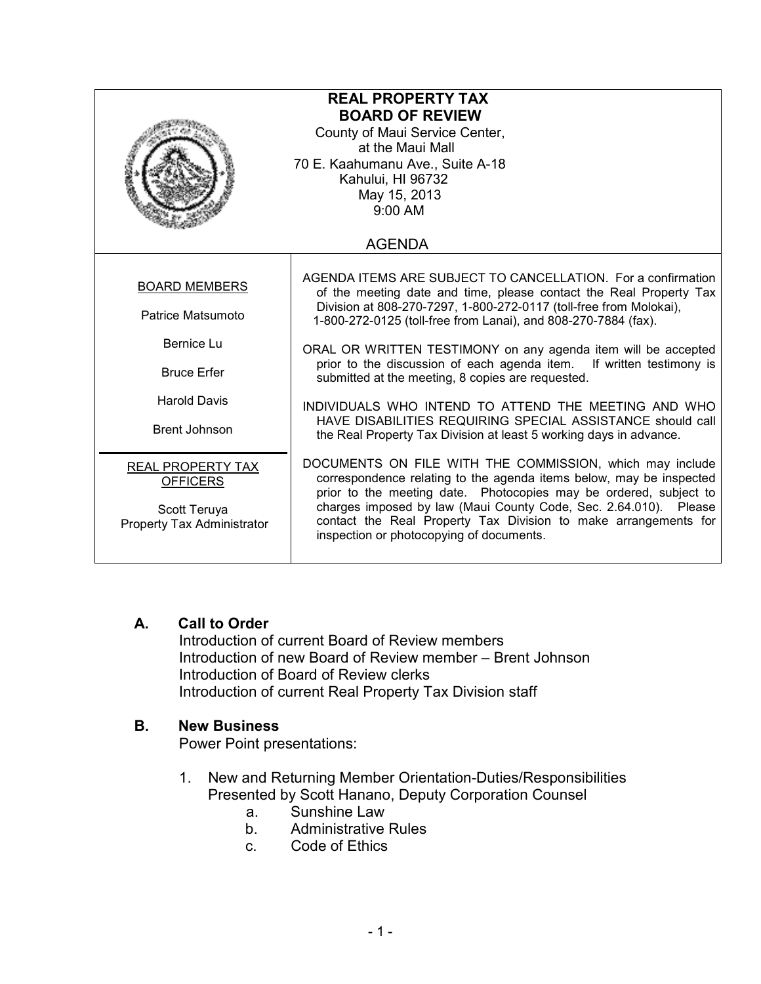| <b>REAL PROPERTY TAX</b><br><b>BOARD OF REVIEW</b><br>County of Maui Service Center,<br>at the Maui Mall<br>70 E. Kaahumanu Ave., Suite A-18<br>Kahului, HI 96732<br>May 15, 2013<br>$9:00$ AM |                                                                                                                                                                                                                                                                                                                                                                                                                                                                          |
|------------------------------------------------------------------------------------------------------------------------------------------------------------------------------------------------|--------------------------------------------------------------------------------------------------------------------------------------------------------------------------------------------------------------------------------------------------------------------------------------------------------------------------------------------------------------------------------------------------------------------------------------------------------------------------|
| <b>AGENDA</b>                                                                                                                                                                                  |                                                                                                                                                                                                                                                                                                                                                                                                                                                                          |
| <b>BOARD MEMBERS</b><br>Patrice Matsumoto<br>Bernice Lu<br><b>Bruce Erfer</b>                                                                                                                  | AGENDA ITEMS ARE SUBJECT TO CANCELLATION. For a confirmation<br>of the meeting date and time, please contact the Real Property Tax<br>Division at 808-270-7297, 1-800-272-0117 (toll-free from Molokai),<br>1-800-272-0125 (toll-free from Lanai), and 808-270-7884 (fax).<br>ORAL OR WRITTEN TESTIMONY on any agenda item will be accepted<br>prior to the discussion of each agenda item. If written testimony is<br>submitted at the meeting, 8 copies are requested. |
| <b>Harold Davis</b><br><b>Brent Johnson</b>                                                                                                                                                    | INDIVIDUALS WHO INTEND TO ATTEND THE MEETING AND WHO<br>HAVE DISABILITIES REQUIRING SPECIAL ASSISTANCE should call<br>the Real Property Tax Division at least 5 working days in advance.                                                                                                                                                                                                                                                                                 |
| REAL PROPERTY TAX<br><b>OFFICERS</b><br>Scott Teruya<br>Property Tax Administrator                                                                                                             | DOCUMENTS ON FILE WITH THE COMMISSION, which may include<br>correspondence relating to the agenda items below, may be inspected<br>prior to the meeting date. Photocopies may be ordered, subject to<br>charges imposed by law (Maui County Code, Sec. 2.64.010). Please<br>contact the Real Property Tax Division to make arrangements for<br>inspection or photocopying of documents.                                                                                  |

## A. Call to Order

Introduction of current Board of Review members Introduction of new Board of Review member – Brent Johnson Introduction of Board of Review clerks Introduction of current Real Property Tax Division staff

## B. New Business

Power Point presentations:

- 1. New and Returning Member Orientation-Duties/Responsibilities Presented by Scott Hanano, Deputy Corporation Counsel
	- a. Sunshine Law
	- b. Administrative Rules
	- c. Code of Ethics